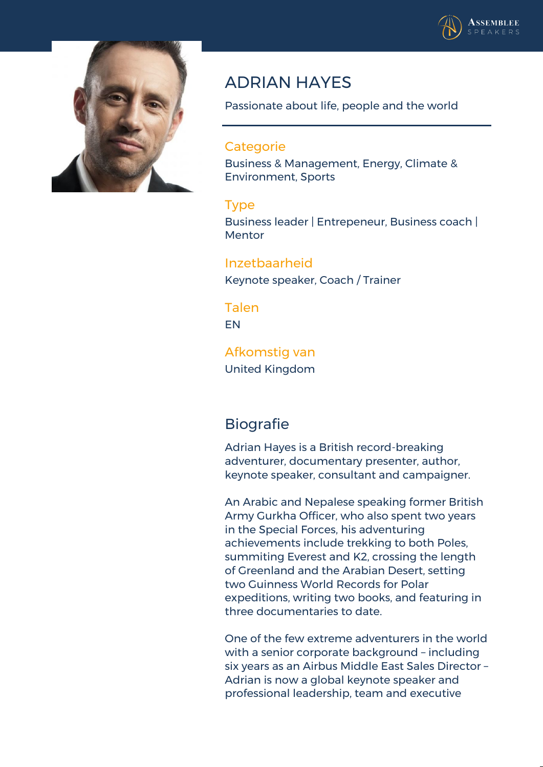



## **ADRIAN HAYES**

Passionate about life, people and the world

## **Categorie**

Business & Management, Energy, Climate & Environment, Sports

## **Type**

Business leader | Entrepeneur, Business coach | Mentor

**Inzetbaarheid** Keynote speaker, Coach / Trainer

**Talen** EN

**Afkomstig van** United Kingdom

## **Biografie**

Adrian Hayes is a British record-breaking adventurer, documentary presenter, author, keynote speaker, consultant and campaigner.

An Arabic and Nepalese speaking former British Army Gurkha Officer, who also spent two years in the Special Forces, his adventuring achievements include trekking to both Poles, summiting Everest and K2, crossing the length of Greenland and the Arabian Desert, setting two Guinness World Records for Polar expeditions, writing two books, and featuring in three documentaries to date.

One of the few extreme adventurers in the world with a senior corporate background – including six years as an Airbus Middle East Sales Director – Adrian is now a global keynote speaker and professional leadership, team and executive